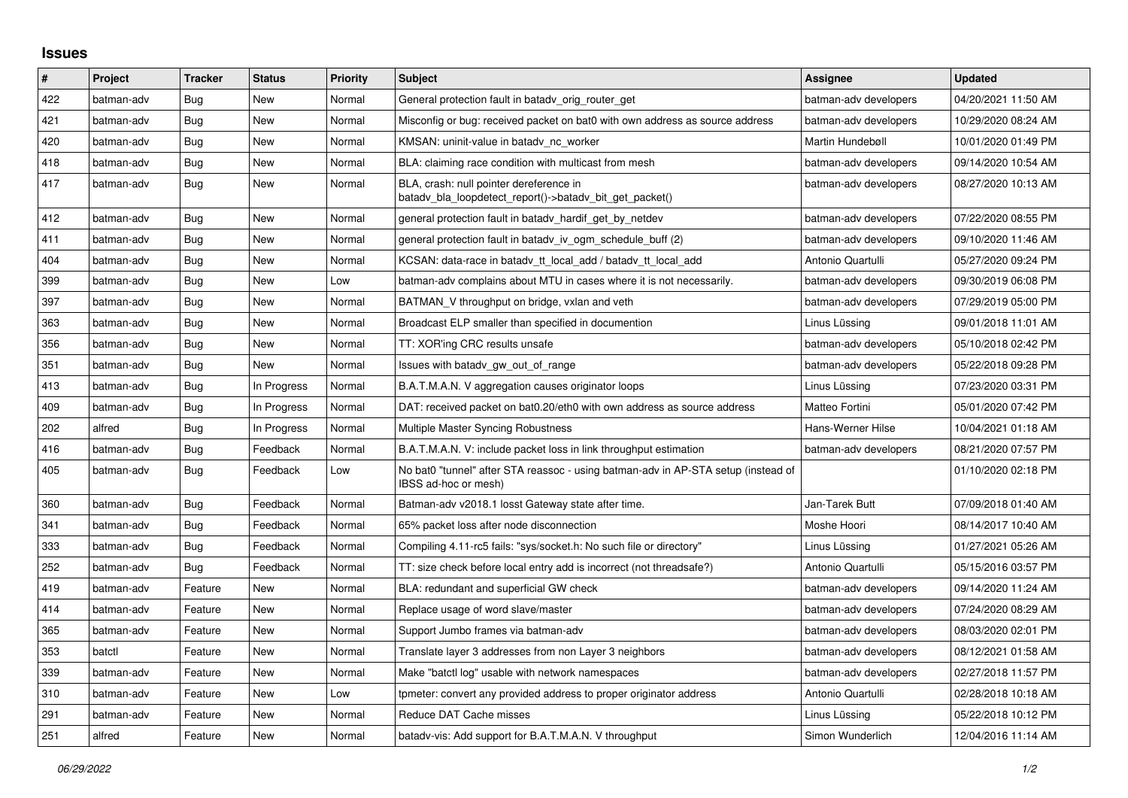## **Issues**

| $\pmb{\#}$ | Project    | <b>Tracker</b> | <b>Status</b> | Priority | <b>Subject</b>                                                                                            | Assignee              | <b>Updated</b>      |
|------------|------------|----------------|---------------|----------|-----------------------------------------------------------------------------------------------------------|-----------------------|---------------------|
| 422        | batman-adv | Bug            | New           | Normal   | General protection fault in batady orig router get                                                        | batman-adv developers | 04/20/2021 11:50 AM |
| 421        | batman-adv | Bug            | New           | Normal   | Misconfig or bug: received packet on bat0 with own address as source address                              | batman-adv developers | 10/29/2020 08:24 AM |
| 420        | batman-adv | <b>Bug</b>     | <b>New</b>    | Normal   | KMSAN: uninit-value in batadv_nc_worker                                                                   | Martin Hundebøll      | 10/01/2020 01:49 PM |
| 418        | batman-adv | Bug            | New           | Normal   | BLA: claiming race condition with multicast from mesh                                                     | batman-adv developers | 09/14/2020 10:54 AM |
| 417        | batman-adv | <b>Bug</b>     | New           | Normal   | BLA, crash: null pointer dereference in<br>batady bla loopdetect report()->batady bit get packet()        | batman-adv developers | 08/27/2020 10:13 AM |
| 412        | batman-adv | <b>Bug</b>     | New           | Normal   | general protection fault in batady hardif get by netdev                                                   | batman-adv developers | 07/22/2020 08:55 PM |
| 411        | batman-adv | Bug            | New           | Normal   | general protection fault in batady iv ogm_schedule_buff (2)                                               | batman-adv developers | 09/10/2020 11:46 AM |
| 404        | batman-adv | Bug            | New           | Normal   | KCSAN: data-race in batady_tt_local_add / batady_tt_local_add                                             | Antonio Quartulli     | 05/27/2020 09:24 PM |
| 399        | batman-adv | Bug            | New           | Low      | batman-adv complains about MTU in cases where it is not necessarily.                                      | batman-adv developers | 09/30/2019 06:08 PM |
| 397        | batman-adv | <b>Bug</b>     | New           | Normal   | BATMAN_V throughput on bridge, vxlan and veth                                                             | batman-adv developers | 07/29/2019 05:00 PM |
| 363        | batman-adv | Bug            | New           | Normal   | Broadcast ELP smaller than specified in documention                                                       | Linus Lüssing         | 09/01/2018 11:01 AM |
| 356        | batman-adv | <b>Bug</b>     | New           | Normal   | TT: XOR'ing CRC results unsafe                                                                            | batman-adv developers | 05/10/2018 02:42 PM |
| 351        | batman-adv | Bug            | New           | Normal   | Issues with batady gw_out_of_range                                                                        | batman-adv developers | 05/22/2018 09:28 PM |
| 413        | batman-adv | Bug            | In Progress   | Normal   | B.A.T.M.A.N. V aggregation causes originator loops                                                        | Linus Lüssing         | 07/23/2020 03:31 PM |
| 409        | batman-adv | Bug            | In Progress   | Normal   | DAT: received packet on bat0.20/eth0 with own address as source address                                   | Matteo Fortini        | 05/01/2020 07:42 PM |
| 202        | alfred     | Bug            | In Progress   | Normal   | Multiple Master Syncing Robustness                                                                        | Hans-Werner Hilse     | 10/04/2021 01:18 AM |
| 416        | batman-adv | <b>Bug</b>     | Feedback      | Normal   | B.A.T.M.A.N. V: include packet loss in link throughput estimation                                         | batman-adv developers | 08/21/2020 07:57 PM |
| 405        | batman-adv | Bug            | Feedback      | Low      | No bat0 "tunnel" after STA reassoc - using batman-adv in AP-STA setup (instead of<br>IBSS ad-hoc or mesh) |                       | 01/10/2020 02:18 PM |
| 360        | batman-adv | Bug            | Feedback      | Normal   | Batman-adv v2018.1 losst Gateway state after time.                                                        | Jan-Tarek Butt        | 07/09/2018 01:40 AM |
| 341        | batman-adv | <b>Bug</b>     | Feedback      | Normal   | 65% packet loss after node disconnection                                                                  | Moshe Hoori           | 08/14/2017 10:40 AM |
| 333        | batman-adv | Bug            | Feedback      | Normal   | Compiling 4.11-rc5 fails: "sys/socket.h: No such file or directory"                                       | Linus Lüssina         | 01/27/2021 05:26 AM |
| 252        | batman-adv | Bug            | Feedback      | Normal   | TT: size check before local entry add is incorrect (not threadsafe?)                                      | Antonio Quartulli     | 05/15/2016 03:57 PM |
| 419        | batman-adv | Feature        | New           | Normal   | BLA: redundant and superficial GW check                                                                   | batman-adv developers | 09/14/2020 11:24 AM |
| 414        | batman-adv | Feature        | New           | Normal   | Replace usage of word slave/master                                                                        | batman-adv developers | 07/24/2020 08:29 AM |
| 365        | batman-adv | Feature        | New           | Normal   | Support Jumbo frames via batman-adv                                                                       | batman-adv developers | 08/03/2020 02:01 PM |
| 353        | batctl     | Feature        | New           | Normal   | Translate layer 3 addresses from non Layer 3 neighbors                                                    | batman-adv developers | 08/12/2021 01:58 AM |
| 339        | batman-adv | Feature        | New           | Normal   | Make "batctl log" usable with network namespaces                                                          | batman-adv developers | 02/27/2018 11:57 PM |
| 310        | batman-adv | Feature        | <b>New</b>    | Low      | tpmeter: convert any provided address to proper originator address                                        | Antonio Quartulli     | 02/28/2018 10:18 AM |
| 291        | batman-adv | Feature        | New           | Normal   | Reduce DAT Cache misses                                                                                   | Linus Lüssing         | 05/22/2018 10:12 PM |
| 251        | alfred     | Feature        | New           | Normal   | batady-vis: Add support for B.A.T.M.A.N. V throughput                                                     | Simon Wunderlich      | 12/04/2016 11:14 AM |